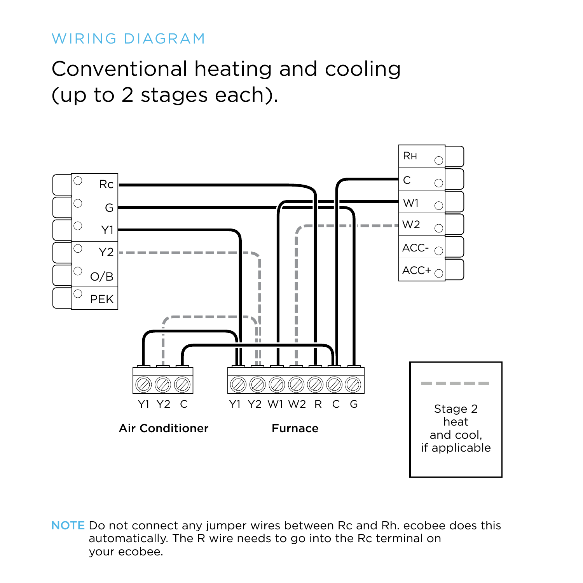Conventional heating and cooling (up to 2 stages each).

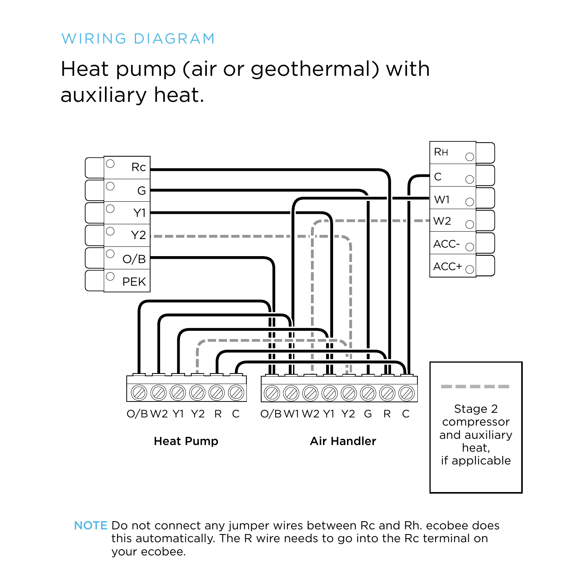# Heat pump (air or geothermal) with auxiliary heat.

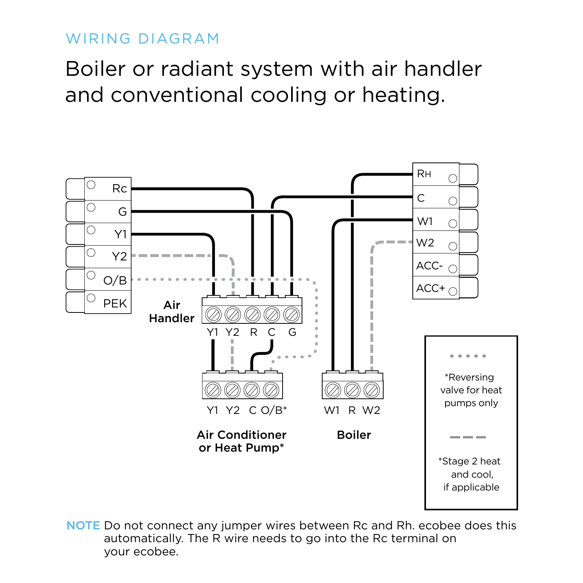Boiler or radiant system with air handler and conventional cooling or heating.